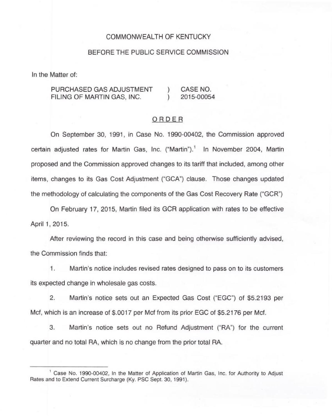### COMMONWEALTH OF KENTUCKY

#### BEFORE THE PUBLIC SERVICE COMMISSION

In the Matter of:

PURCHASED GAS ADJUSTMENT FILING OF MARTIN GAS, INC. ) CASE NO.<br>1 2015-0005 ) 2015-00054

#### ORDER

On September 30, 1991, in Case No. 1990-00402, the Commission approved certain adjusted rates for Martin Gas, Inc. ("Martin").<sup>1</sup> In November 2004, Martin proposed and the Commission approved changes to its tariff that included, among other items, changes to its Gas Cost Adjustment ("GCA") clause. Those changes updated the methodology of calculating the components of the Gas Cost Recovery Rate ("GCR")

On February 17, 2015, Martin filed its GCR application with rates to be effective April 1, 2015.

After reviewing the record in this case and being otherwise sufficiently advised, the Commission finds that:

Martin's notice includes revised rates designed to pass on to its customers  $1.$ its expected change in wholesale gas costs.

2. Martin's notice sets out an Expected Gas Cost ("EGC") of \$5.2193 per Mcf, which is an increase of \$.0017 per Mcf from its prior EGC of \$5.2176 per Mcf.

3. Martin's notice sets out no Refund Adjustment ("RA") for the current quarter and no total RA, which is no change from the prior total RA.

<sup>&</sup>lt;sup>1</sup> Case No. 1990-00402, In the Matter of Application of Martin Gas, Inc. for Authority to Adjust Rates and to Extend Current Surcharge (Ky. PSC Sept. 30, 1991).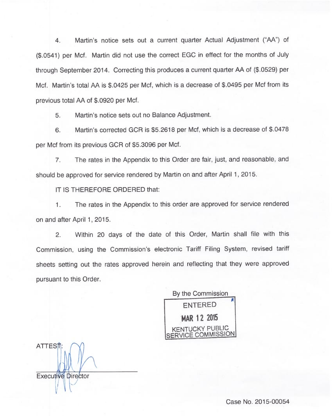4. Martin's notice sets out a current quarter Actual Adjustment ("AA") of (\$.0541) per Mcf. Martin did not use the correct EGC in effect for the months of July through September 2014. Correcting this produces a current quarter AA of (\$.0529) per Mcf. Martin's total AA is \$.0425 per Mcf, which is a decrease of \$.0495 per Mcf from its previous total AA of \$.0920 per Mcf.

5. Martin's notice sets out no Balance Adjustment.

6. Martin's corrected GCR is \$5.2618 per Mcf, which is a decrease of \$.0478 per Mcf from its previous GCR of \$5.3096 per Mcf.

7. The rates in the Appendix to this Order are fair, just, and reasonable, and should be approved for service rendered by Martin on and after April 1, 2015.

IT IS THEREFORE ORDERED that:

The rates in the Appendix to this order are approved for service rendered 1. on and after April 1, 2015.

2. Within 20 days of the date of this Order, Martin shall file with this Commission, using the Commission's electronic Tariff Filing System, revised tariff sheets setting out the rates approved herein and reflecting that they were approved pursuant to this Order.

By the Commission ENTERED MAR 12 2015 **ICKY PUBLIC** COMMISSION

**ATTES**<sup><sup>1</sup></sup> Executive Director

Case No. 2015-00054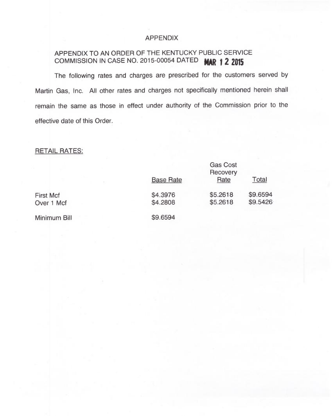# APPENDIX

# APPENDIX TO AN ORDER OF THE KENTUCKY PUBLIC SERVICE COMMISSION IN CASE NO. 2015-00054 DATED **MAR 1 2 2015**

The following rates and charges are prescribed for the customers served by Martin Gas, Inc. All other rates and charges not specifically mentioned herein shall remain the same as those in effect under authority of the Commission prior to the effective date of this Order.

# RETAIL RATES:

|                  | <b>Gas Cost</b><br>Recovery |          |          |
|------------------|-----------------------------|----------|----------|
|                  | <b>Base Rate</b>            | Rate     | Total    |
| <b>First Mcf</b> | \$4.3976                    | \$5.2618 | \$9.6594 |
| Over 1 Mcf       | \$4.2808                    | \$5.2618 | \$9.5426 |
| Minimum Bill     | \$9.6594                    |          |          |